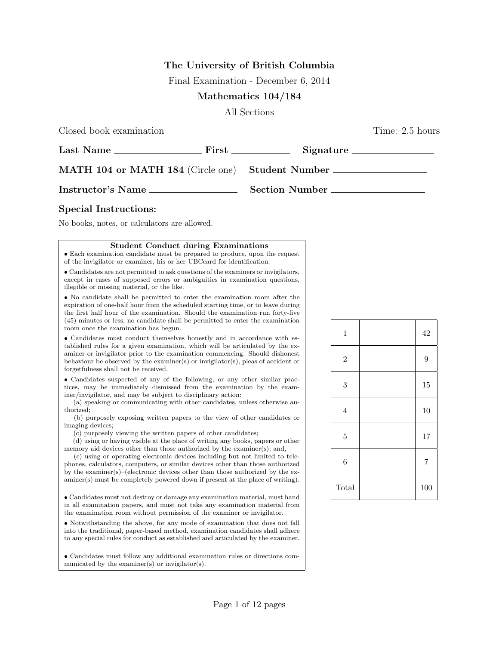## **The University of British Columbia**

Final Examination - December 6, 2014

## **Mathematics 104/184**

All Sections

Closed book examination Time: 2.5 hours

| Last Name                                        | First _____________ | Signature      |
|--------------------------------------------------|---------------------|----------------|
| MATH 104 or MATH 184 (Circle one) Student Number |                     |                |
| Instructor's Name                                |                     | Section Number |

## **Special Instructions:**

No books, notes, or calculators are allowed.

## **Student Conduct during Examinations**

*•* Each examination candidate must be prepared to produce, upon the request of the invigilator or examiner, his or her UBCcard for identification.

*•* Candidates are not permitted to ask questions of the examiners or invigilators, except in cases of supposed errors or ambiguities in examination questions, illegible or missing material, or the like.

*•* No candidate shall be permitted to enter the examination room after the expiration of one-half hour from the scheduled starting time, or to leave during the first half hour of the examination. Should the examination run forty-five (45) minutes or less, no candidate shall be permitted to enter the examination room once the examination has begun.

• Candidates must conduct themselves honestly and in accordance with established rules for a given examination, which will be articulated by the examiner or invigilator prior to the examination commencing. Should dishonest behaviour be observed by the examiner(s) or invigilator(s), pleas of accident or forgetfulness shall not be received.

*•* Candidates suspected of any of the following, or any other similar practices, may be immediately dismissed from the examination by the examiner/invigilator, and may be subject to disciplinary action:

(a) speaking or communicating with other candidates, unless otherwise authorized;

(b) purposely exposing written papers to the view of other candidates or imaging devices;

(c) purposely viewing the written papers of other candidates;

(d) using or having visible at the place of writing any books, papers or other memory aid devices other than those authorized by the examiner(s); and,

(e) using or operating electronic devices including but not limited to telephones, calculators, computers, or similar devices other than those authorized by the examiner(s)–(electronic devices other than those authorized by the examiner(s) must be completely powered down if present at the place of writing).

*•* Candidates must not destroy or damage any examination material, must hand in all examination papers, and must not take any examination material from the examination room without permission of the examiner or invigilator.

*•* Notwithstanding the above, for any mode of examination that does not fall into the traditional, paper-based method, examination candidates shall adhere to any special rules for conduct as established and articulated by the examiner.

*•* Candidates must follow any additional examination rules or directions communicated by the examiner(s) or invigilator(s).

| $\,1$            | 42             |
|------------------|----------------|
| $\overline{2}$   | $\overline{9}$ |
| 3                | 15             |
| $\sqrt{4}$       | 10             |
| $\bf 5$          | 17             |
| $\boldsymbol{6}$ | $\overline{7}$ |
| Total            | 100            |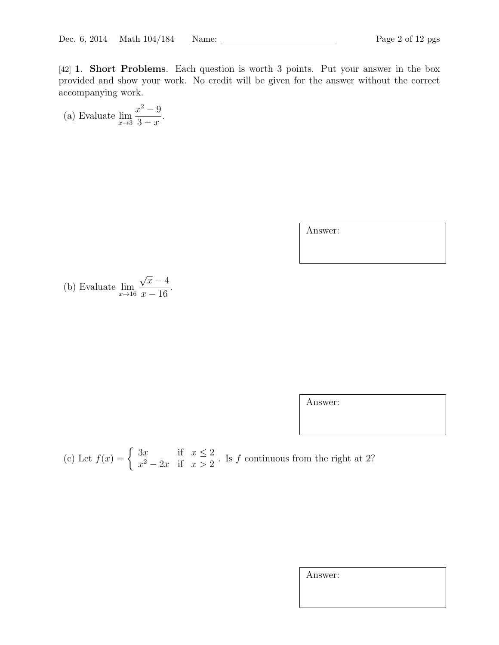[42] **1**. **Short Problems**. Each question is worth 3 points. Put your answer in the box provided and show your work. No credit will be given for the answer without the correct accompanying work.

(a) Evaluate 
$$
\lim_{x \to 3} \frac{x^2 - 9}{3 - x}.
$$

Answer:

(b) Evaluate 
$$
\lim_{x \to 16} \frac{\sqrt{x} - 4}{x - 16}.
$$

Answer:

(c) Let 
$$
f(x) = \begin{cases} 3x & \text{if } x \leq 2 \\ x^2 - 2x & \text{if } x > 2 \end{cases}
$$
. Is f continuous from the right at 2?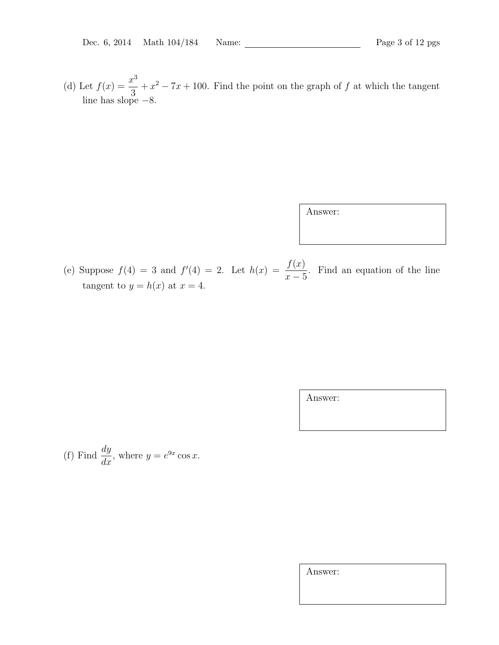(d) Let  $f(x) = \frac{x^3}{3}$ 3  $+x^2 - 7x + 100$ . Find the point on the graph of *f* at which the tangent line has slope *−*8.

Answer:

(e) Suppose  $f(4) = 3$  and  $f'(4) = 2$ . Let  $h(x) = \frac{f(x)}{f(x)}$ *x −* 5 . Find an equation of the line tangent to  $y = h(x)$  at  $x = 4$ .

Answer:

(f) Find 
$$
\frac{dy}{dx}
$$
, where  $y = e^{9x} \cos x$ .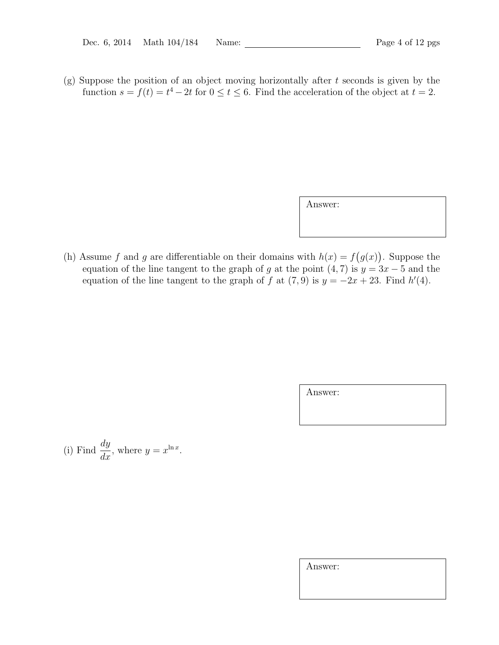(g) Suppose the position of an object moving horizontally after *t* seconds is given by the function  $s = f(t) = t^4 - 2t$  for  $0 \le t \le 6$ . Find the acceleration of the object at  $t = 2$ .

Answer:

(h) Assume *f* and *g* are differentiable on their domains with  $h(x) = f(g(x))$ . Suppose the equation of the line tangent to the graph of *g* at the point  $(4, 7)$  is  $y = 3x - 5$  and the equation of the line tangent to the graph of *f* at  $(7, 9)$  is  $y = -2x + 23$ . Find  $h'(4)$ .

Answer:

(i) Find 
$$
\frac{dy}{dx}
$$
, where  $y = x^{\ln x}$ .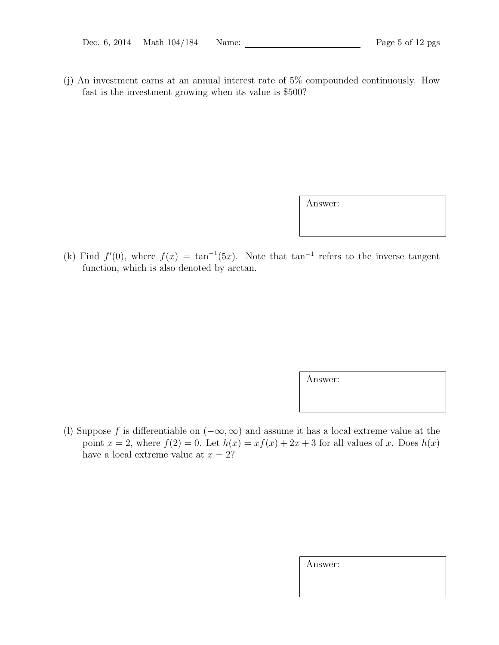(j) An investment earns at an annual interest rate of 5% compounded continuously. How fast is the investment growing when its value is \$500?

Answer:

(k) Find  $f'(0)$ , where  $f(x) = \tan^{-1}(5x)$ . Note that  $\tan^{-1}$  refers to the inverse tangent function, which is also denoted by arctan.

Answer:

(l) Suppose *f* is differentiable on (*−∞,∞*) and assume it has a local extreme value at the point  $x = 2$ , where  $f(2) = 0$ . Let  $h(x) = xf(x) + 2x + 3$  for all values of *x*. Does  $h(x)$ have a local extreme value at  $x = 2$ ?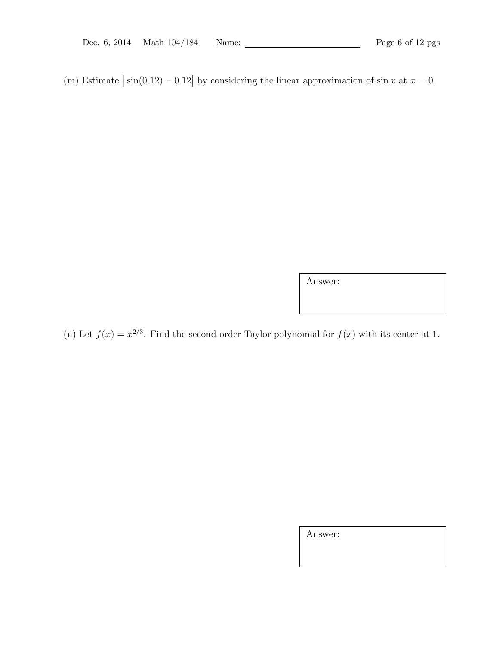(m) Estimate  $|\sin(0.12) - 0.12|$  by considering the linear approximation of  $\sin x$  at  $x = 0$ .

Answer:

(n) Let  $f(x) = x^{2/3}$ . Find the second-order Taylor polynomial for  $f(x)$  with its center at 1.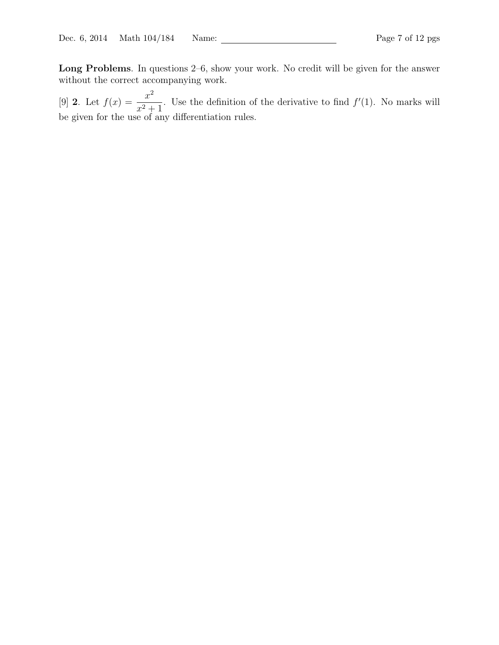**Long Problems**. In questions 2–6, show your work. No credit will be given for the answer without the correct accompanying work.

[9] **2**. Let  $f(x) = \frac{x^2}{2}$  $\frac{x}{x^2+1}$ . Use the definition of the derivative to find  $f'(1)$ . No marks will be given for the use of any differentiation rules.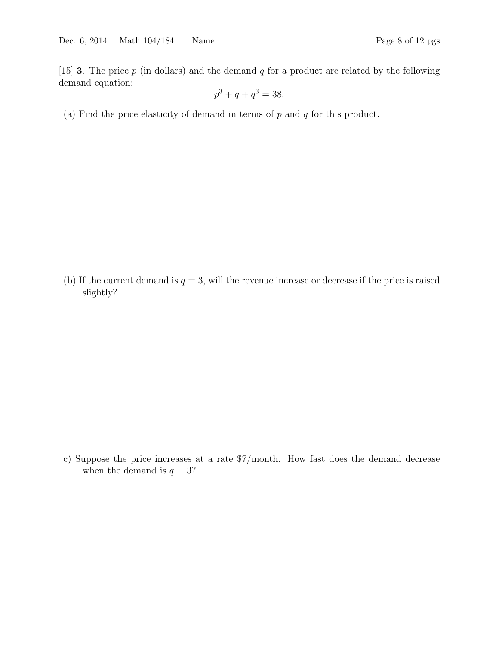[15] **3**. The price *p* (in dollars) and the demand *q* for a product are related by the following demand equation:

$$
p^3 + q + q^3 = 38.
$$

(a) Find the price elasticity of demand in terms of *p* and *q* for this product.

(b) If the current demand is  $q = 3$ , will the revenue increase or decrease if the price is raised slightly?

c) Suppose the price increases at a rate \$7/month. How fast does the demand decrease when the demand is  $q = 3$ ?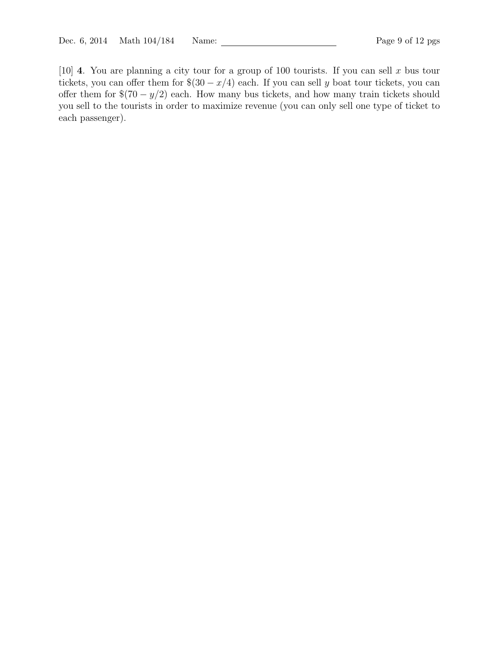[10] **4**. You are planning a city tour for a group of 100 tourists. If you can sell *x* bus tour tickets, you can offer them for  $\$(30 - x/4)$  each. If you can sell *y* boat tour tickets, you can offer them for \$(70 *− y/*2) each. How many bus tickets, and how many train tickets should you sell to the tourists in order to maximize revenue (you can only sell one type of ticket to each passenger).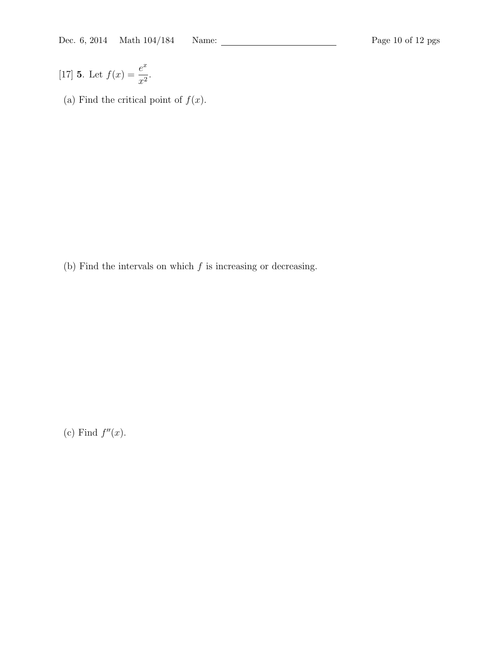[17] **5**. Let  $f(x) = \frac{e^x}{x^2}$  $\frac{6}{x^2}$ .

(a) Find the critical point of  $f(x)$ .

(b) Find the intervals on which *f* is increasing or decreasing.

(c) Find  $f''(x)$ .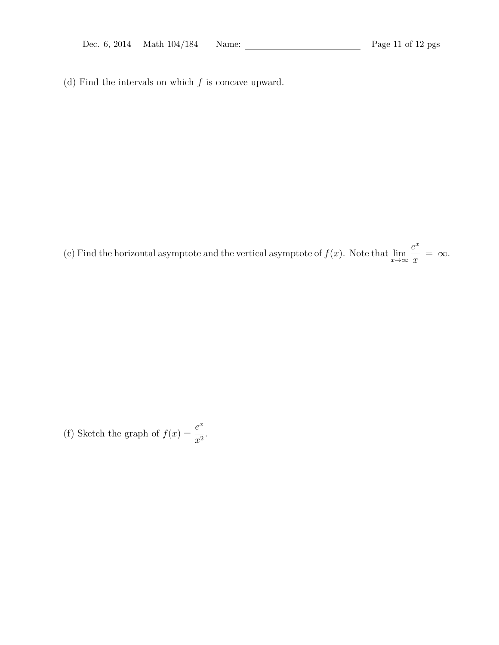(d) Find the intervals on which *f* is concave upward.

(e) Find the horizontal asymptote and the vertical asymptote of  $f(x)$ . Note that  $\lim_{x\to\infty}$ *e x*  $\frac{y}{x} = \infty$ .

(f) Sketch the graph of  $f(x) = \frac{e^x}{x}$  $\frac{c}{x^2}$ .